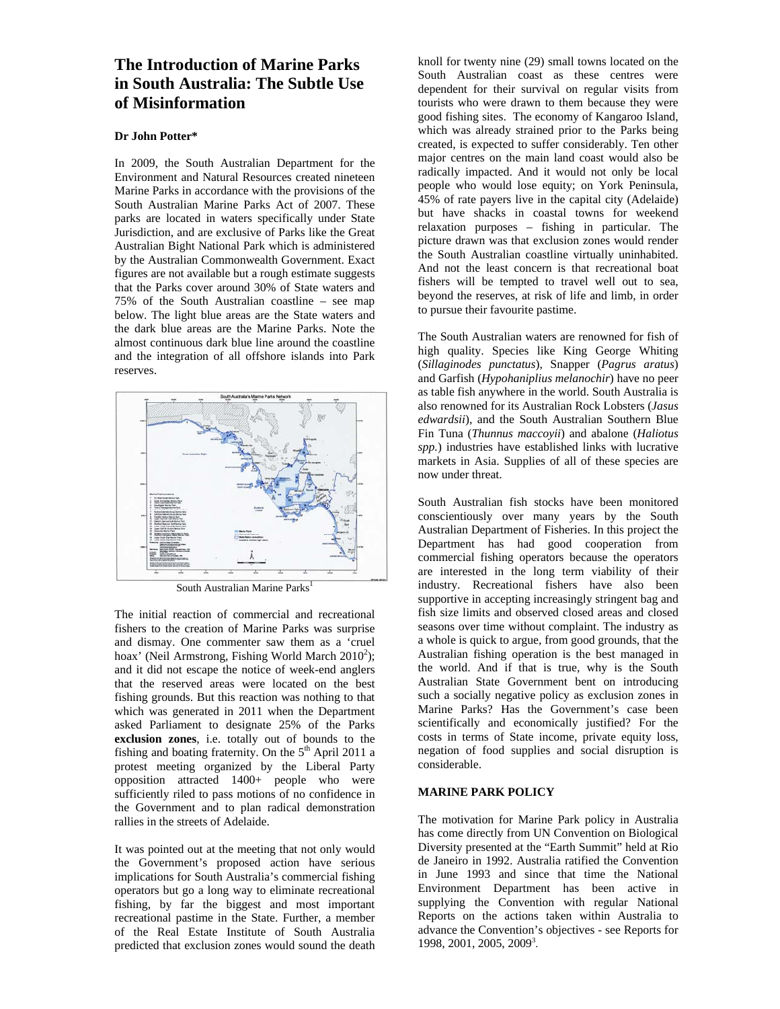# **The Introduction of Marine Parks in South Australia: The Subtle Use of Misinformation**

# **Dr John Potter\***

In 2009, the South Australian Department for the Environment and Natural Resources created nineteen Marine Parks in accordance with the provisions of the South Australian Marine Parks Act of 2007. These parks are located in waters specifically under State Jurisdiction, and are exclusive of Parks like the Great Australian Bight National Park which is administered by the Australian Commonwealth Government. Exact figures are not available but a rough estimate suggests that the Parks cover around 30% of State waters and 75% of the South Australian coastline – see map below. The light blue areas are the State waters and the dark blue areas are the Marine Parks. Note the almost continuous dark blue line around the coastline and the integration of all offshore islands into Park reserves.



South Australian Marine Parks<sup>1</sup>

The initial reaction of commercial and recreational fishers to the creation of Marine Parks was surprise and dismay. One commenter saw them as a 'cruel hoax' (Neil Armstrong, Fishing World March  $2010^2$ ); and it did not escape the notice of week-end anglers that the reserved areas were located on the best fishing grounds. But this reaction was nothing to that which was generated in 2011 when the Department asked Parliament to designate 25% of the Parks **exclusion zones**, i.e. totally out of bounds to the fishing and boating fraternity. On the  $5<sup>th</sup>$  April 2011 a protest meeting organized by the Liberal Party opposition attracted  $1400+$  people who were sufficiently riled to pass motions of no confidence in the Government and to plan radical demonstration rallies in the streets of Adelaide.

It was pointed out at the meeting that not only would the Government's proposed action have serious implications for South Australia's commercial fishing operators but go a long way to eliminate recreational fishing, by far the biggest and most important recreational pastime in the State. Further, a member of the Real Estate Institute of South Australia predicted that exclusion zones would sound the death

knoll for twenty nine (29) small towns located on the South Australian coast as these centres were dependent for their survival on regular visits from tourists who were drawn to them because they were good fishing sites. The economy of Kangaroo Island, which was already strained prior to the Parks being created, is expected to suffer considerably. Ten other major centres on the main land coast would also be radically impacted. And it would not only be local people who would lose equity; on York Peninsula, 45% of rate payers live in the capital city (Adelaide) but have shacks in coastal towns for weekend relaxation purposes – fishing in particular. The picture drawn was that exclusion zones would render the South Australian coastline virtually uninhabited. And not the least concern is that recreational boat fishers will be tempted to travel well out to sea, beyond the reserves, at risk of life and limb, in order to pursue their favourite pastime.

The South Australian waters are renowned for fish of high quality. Species like King George Whiting (*Sillaginodes punctatus*), Snapper (*Pagrus aratus*) and Garfish (*Hypohaniplius melanochir*) have no peer as table fish anywhere in the world. South Australia is also renowned for its Australian Rock Lobsters (*Jasus edwardsii*), and the South Australian Southern Blue Fin Tuna (*Thunnus maccoyii*) and abalone (*Haliotus spp.*) industries have established links with lucrative markets in Asia. Supplies of all of these species are now under threat.

South Australian fish stocks have been monitored conscientiously over many years by the South Australian Department of Fisheries. In this project the Department has had good cooperation from commercial fishing operators because the operators are interested in the long term viability of their industry. Recreational fishers have also been supportive in accepting increasingly stringent bag and fish size limits and observed closed areas and closed seasons over time without complaint. The industry as a whole is quick to argue, from good grounds, that the Australian fishing operation is the best managed in the world. And if that is true, why is the South Australian State Government bent on introducing such a socially negative policy as exclusion zones in Marine Parks? Has the Government's case been scientifically and economically justified? For the costs in terms of State income, private equity loss, negation of food supplies and social disruption is considerable.

# **MARINE PARK POLICY**

The motivation for Marine Park policy in Australia has come directly from UN Convention on Biological Diversity presented at the "Earth Summit" held at Rio de Janeiro in 1992. Australia ratified the Convention in June 1993 and since that time the National Environment Department has been active in supplying the Convention with regular National Reports on the actions taken within Australia to advance the Convention's objectives - see Reports for 1998, 2001, 2005, 20093 .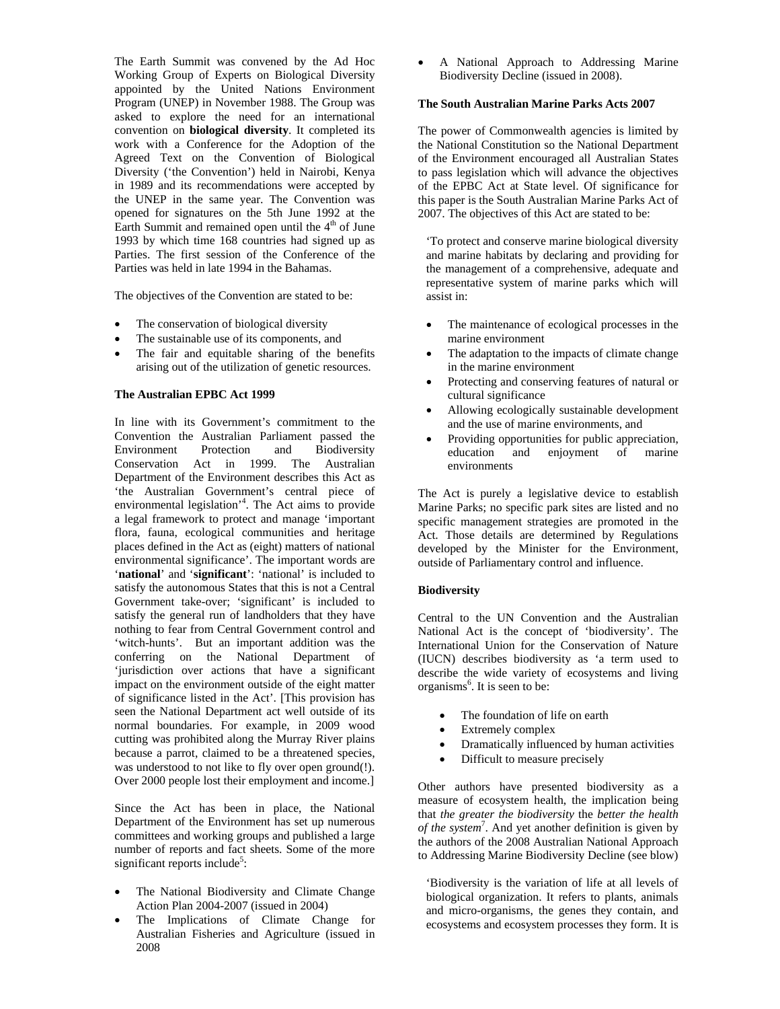The Earth Summit was convened by the Ad Hoc Working Group of Experts on Biological Diversity appointed by the United Nations Environment Program (UNEP) in November 1988. The Group was asked to explore the need for an international convention on **biological diversity**. It completed its work with a Conference for the Adoption of the Agreed Text on the Convention of Biological Diversity ('the Convention') held in Nairobi, Kenya in 1989 and its recommendations were accepted by the UNEP in the same year. The Convention was opened for signatures on the 5th June 1992 at the Earth Summit and remained open until the  $4<sup>th</sup>$  of June 1993 by which time 168 countries had signed up as Parties. The first session of the Conference of the Parties was held in late 1994 in the Bahamas.

The objectives of the Convention are stated to be:

- The conservation of biological diversity
- The sustainable use of its components, and
- The fair and equitable sharing of the benefits arising out of the utilization of genetic resources.

## **The Australian EPBC Act 1999**

In line with its Government's commitment to the Convention the Australian Parliament passed the Environment Protection and Biodiversity Conservation Act in 1999. The Australian Department of the Environment describes this Act as 'the Australian Government's central piece of environmental legislation'4 . The Act aims to provide a legal framework to protect and manage 'important flora, fauna, ecological communities and heritage places defined in the Act as (eight) matters of national environmental significance'. The important words are '**national**' and '**significant**': 'national' is included to satisfy the autonomous States that this is not a Central Government take-over; 'significant' is included to satisfy the general run of landholders that they have nothing to fear from Central Government control and 'witch-hunts'. But an important addition was the conferring on the National Department of 'jurisdiction over actions that have a significant impact on the environment outside of the eight matter of significance listed in the Act'. [This provision has seen the National Department act well outside of its normal boundaries. For example, in 2009 wood cutting was prohibited along the Murray River plains because a parrot, claimed to be a threatened species, was understood to not like to fly over open ground(!). Over 2000 people lost their employment and income.]

Since the Act has been in place, the National Department of the Environment has set up numerous committees and working groups and published a large number of reports and fact sheets. Some of the more significant reports include<sup>5</sup>:

- The National Biodiversity and Climate Change Action Plan 2004-2007 (issued in 2004)
- The Implications of Climate Change for Australian Fisheries and Agriculture (issued in 2008

• A National Approach to Addressing Marine Biodiversity Decline (issued in 2008).

### **The South Australian Marine Parks Acts 2007**

The power of Commonwealth agencies is limited by the National Constitution so the National Department of the Environment encouraged all Australian States to pass legislation which will advance the objectives of the EPBC Act at State level. Of significance for this paper is the South Australian Marine Parks Act of 2007. The objectives of this Act are stated to be:

'To protect and conserve marine biological diversity and marine habitats by declaring and providing for the management of a comprehensive, adequate and representative system of marine parks which will assist in:

- The maintenance of ecological processes in the marine environment
- The adaptation to the impacts of climate change in the marine environment
- Protecting and conserving features of natural or cultural significance
- Allowing ecologically sustainable development and the use of marine environments, and
- Providing opportunities for public appreciation, education and enjoyment of marine environments

The Act is purely a legislative device to establish Marine Parks; no specific park sites are listed and no specific management strategies are promoted in the Act. Those details are determined by Regulations developed by the Minister for the Environment, outside of Parliamentary control and influence.

#### **Biodiversity**

Central to the UN Convention and the Australian National Act is the concept of 'biodiversity'. The International Union for the Conservation of Nature (IUCN) describes biodiversity as 'a term used to describe the wide variety of ecosystems and living organisms<sup>6</sup>. It is seen to be:

- The foundation of life on earth
- Extremely complex
- Dramatically influenced by human activities
- Difficult to measure precisely

Other authors have presented biodiversity as a measure of ecosystem health, the implication being that *the greater the biodiversity* the *better the health of the system*<sup>7</sup> . And yet another definition is given by the authors of the 2008 Australian National Approach to Addressing Marine Biodiversity Decline (see blow)

'Biodiversity is the variation of life at all levels of biological organization. It refers to plants, animals and micro-organisms, the genes they contain, and ecosystems and ecosystem processes they form. It is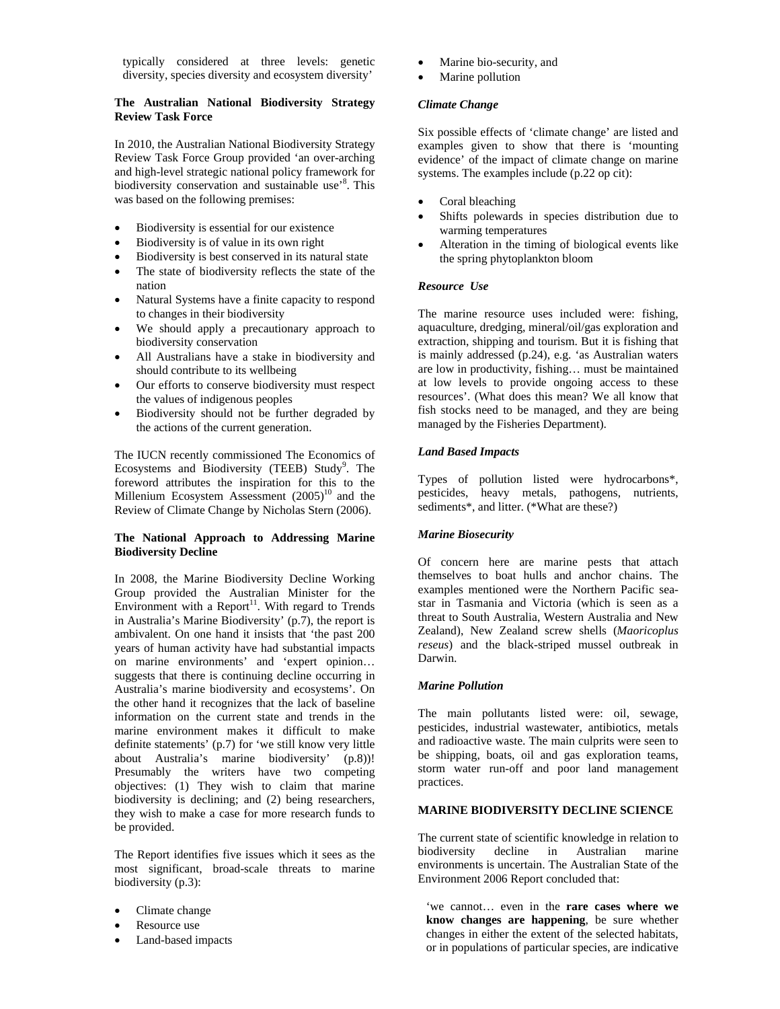typically considered at three levels: genetic diversity, species diversity and ecosystem diversity'

## **The Australian National Biodiversity Strategy Review Task Force**

In 2010, the Australian National Biodiversity Strategy Review Task Force Group provided 'an over-arching and high-level strategic national policy framework for biodiversity conservation and sustainable use'8 . This was based on the following premises:

- Biodiversity is essential for our existence
- Biodiversity is of value in its own right
- Biodiversity is best conserved in its natural state
- The state of biodiversity reflects the state of the nation
- Natural Systems have a finite capacity to respond to changes in their biodiversity
- We should apply a precautionary approach to biodiversity conservation
- All Australians have a stake in biodiversity and should contribute to its wellbeing
- Our efforts to conserve biodiversity must respect the values of indigenous peoples
- Biodiversity should not be further degraded by the actions of the current generation.

The IUCN recently commissioned The Economics of Ecosystems and Biodiversity (TEEB) Study<sup>9</sup>. The foreword attributes the inspiration for this to the Millenium Ecosystem Assessment  $(2005)^{10}$  and the Review of Climate Change by Nicholas Stern (2006).

# **The National Approach to Addressing Marine Biodiversity Decline**

In 2008, the Marine Biodiversity Decline Working Group provided the Australian Minister for the Environment with a Report $^{11}$ . With regard to Trends in Australia's Marine Biodiversity' (p.7), the report is ambivalent. On one hand it insists that 'the past 200 years of human activity have had substantial impacts on marine environments' and 'expert opinion… suggests that there is continuing decline occurring in Australia's marine biodiversity and ecosystems'. On the other hand it recognizes that the lack of baseline information on the current state and trends in the marine environment makes it difficult to make definite statements' (p.7) for 'we still know very little about Australia's marine biodiversity' (p.8))! Presumably the writers have two competing objectives: (1) They wish to claim that marine biodiversity is declining; and (2) being researchers, they wish to make a case for more research funds to be provided.

The Report identifies five issues which it sees as the most significant, broad-scale threats to marine biodiversity (p.3):

- Climate change
- Resource use
- Land-based impacts
- Marine bio-security, and
- Marine pollution

## *Climate Change*

Six possible effects of 'climate change' are listed and examples given to show that there is 'mounting evidence' of the impact of climate change on marine systems. The examples include (p.22 op cit):

- Coral bleaching
- Shifts polewards in species distribution due to warming temperatures
- Alteration in the timing of biological events like the spring phytoplankton bloom

# *Resource Use*

The marine resource uses included were: fishing, aquaculture, dredging, mineral/oil/gas exploration and extraction, shipping and tourism. But it is fishing that is mainly addressed (p.24), e.g. 'as Australian waters are low in productivity, fishing… must be maintained at low levels to provide ongoing access to these resources'. (What does this mean? We all know that fish stocks need to be managed, and they are being managed by the Fisheries Department).

## *Land Based Impacts*

Types of pollution listed were hydrocarbons\*, pesticides, heavy metals, pathogens, nutrients, sediments<sup>\*</sup>, and litter. (\*What are these?)

# *Marine Biosecurity*

Of concern here are marine pests that attach themselves to boat hulls and anchor chains. The examples mentioned were the Northern Pacific seastar in Tasmania and Victoria (which is seen as a threat to South Australia, Western Australia and New Zealand), New Zealand screw shells (*Maoricoplus reseus*) and the black-striped mussel outbreak in Darwin.

#### *Marine Pollution*

The main pollutants listed were: oil, sewage, pesticides, industrial wastewater, antibiotics, metals and radioactive waste. The main culprits were seen to be shipping, boats, oil and gas exploration teams, storm water run-off and poor land management practices.

# **MARINE BIODIVERSITY DECLINE SCIENCE**

The current state of scientific knowledge in relation to biodiversity decline in Australian marine environments is uncertain. The Australian State of the Environment 2006 Report concluded that:

'we cannot… even in the **rare cases where we know changes are happening**, be sure whether changes in either the extent of the selected habitats, or in populations of particular species, are indicative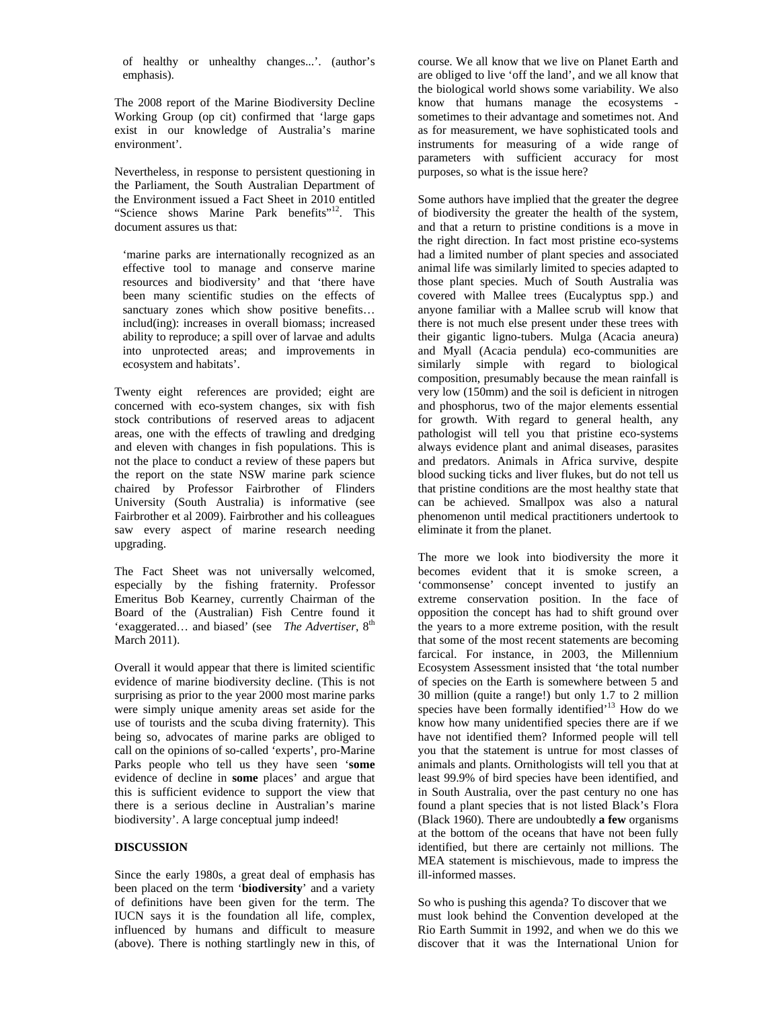of healthy or unhealthy changes...'. (author's emphasis).

The 2008 report of the Marine Biodiversity Decline Working Group (op cit) confirmed that 'large gaps exist in our knowledge of Australia's marine environment'.

Nevertheless, in response to persistent questioning in the Parliament, the South Australian Department of the Environment issued a Fact Sheet in 2010 entitled "Science shows Marine Park benefits"<sup>12</sup>. This document assures us that:

'marine parks are internationally recognized as an effective tool to manage and conserve marine resources and biodiversity' and that 'there have been many scientific studies on the effects of sanctuary zones which show positive benefits... includ(ing): increases in overall biomass; increased ability to reproduce; a spill over of larvae and adults into unprotected areas; and improvements in ecosystem and habitats'.

Twenty eight references are provided; eight are concerned with eco-system changes, six with fish stock contributions of reserved areas to adjacent areas, one with the effects of trawling and dredging and eleven with changes in fish populations. This is not the place to conduct a review of these papers but the report on the state NSW marine park science chaired by Professor Fairbrother of Flinders University (South Australia) is informative (see Fairbrother et al 2009). Fairbrother and his colleagues saw every aspect of marine research needing upgrading.

The Fact Sheet was not universally welcomed, especially by the fishing fraternity. Professor Emeritus Bob Kearney, currently Chairman of the Board of the (Australian) Fish Centre found it 'exaggerated... and biased' (see *The Advertiser*, 8<sup>th</sup>) March 2011).

Overall it would appear that there is limited scientific evidence of marine biodiversity decline. (This is not surprising as prior to the year 2000 most marine parks were simply unique amenity areas set aside for the use of tourists and the scuba diving fraternity). This being so, advocates of marine parks are obliged to call on the opinions of so-called 'experts', pro-Marine Parks people who tell us they have seen '**some** evidence of decline in **some** places' and argue that this is sufficient evidence to support the view that there is a serious decline in Australian's marine biodiversity'. A large conceptual jump indeed!

# **DISCUSSION**

Since the early 1980s, a great deal of emphasis has been placed on the term '**biodiversity**' and a variety of definitions have been given for the term. The IUCN says it is the foundation all life, complex, influenced by humans and difficult to measure (above). There is nothing startlingly new in this, of

course. We all know that we live on Planet Earth and are obliged to live 'off the land', and we all know that the biological world shows some variability. We also know that humans manage the ecosystems sometimes to their advantage and sometimes not. And as for measurement, we have sophisticated tools and instruments for measuring of a wide range of parameters with sufficient accuracy for most purposes, so what is the issue here?

Some authors have implied that the greater the degree of biodiversity the greater the health of the system, and that a return to pristine conditions is a move in the right direction. In fact most pristine eco-systems had a limited number of plant species and associated animal life was similarly limited to species adapted to those plant species. Much of South Australia was covered with Mallee trees (Eucalyptus spp.) and anyone familiar with a Mallee scrub will know that there is not much else present under these trees with their gigantic ligno-tubers. Mulga (Acacia aneura) and Myall (Acacia pendula) eco-communities are similarly simple with regard to biological composition, presumably because the mean rainfall is very low (150mm) and the soil is deficient in nitrogen and phosphorus, two of the major elements essential for growth. With regard to general health, any pathologist will tell you that pristine eco-systems always evidence plant and animal diseases, parasites and predators. Animals in Africa survive, despite blood sucking ticks and liver flukes, but do not tell us that pristine conditions are the most healthy state that can be achieved. Smallpox was also a natural phenomenon until medical practitioners undertook to eliminate it from the planet.

The more we look into biodiversity the more it becomes evident that it is smoke screen, a 'commonsense' concept invented to justify an extreme conservation position. In the face of opposition the concept has had to shift ground over the years to a more extreme position, with the result that some of the most recent statements are becoming farcical. For instance, in 2003, the Millennium Ecosystem Assessment insisted that 'the total number of species on the Earth is somewhere between 5 and 30 million (quite a range!) but only 1.7 to 2 million species have been formally identified<sup>13</sup> How do we know how many unidentified species there are if we have not identified them? Informed people will tell you that the statement is untrue for most classes of animals and plants. Ornithologists will tell you that at least 99.9% of bird species have been identified, and in South Australia, over the past century no one has found a plant species that is not listed Black's Flora (Black 1960). There are undoubtedly **a few** organisms at the bottom of the oceans that have not been fully identified, but there are certainly not millions. The MEA statement is mischievous, made to impress the ill-informed masses.

So who is pushing this agenda? To discover that we must look behind the Convention developed at the Rio Earth Summit in 1992, and when we do this we discover that it was the International Union for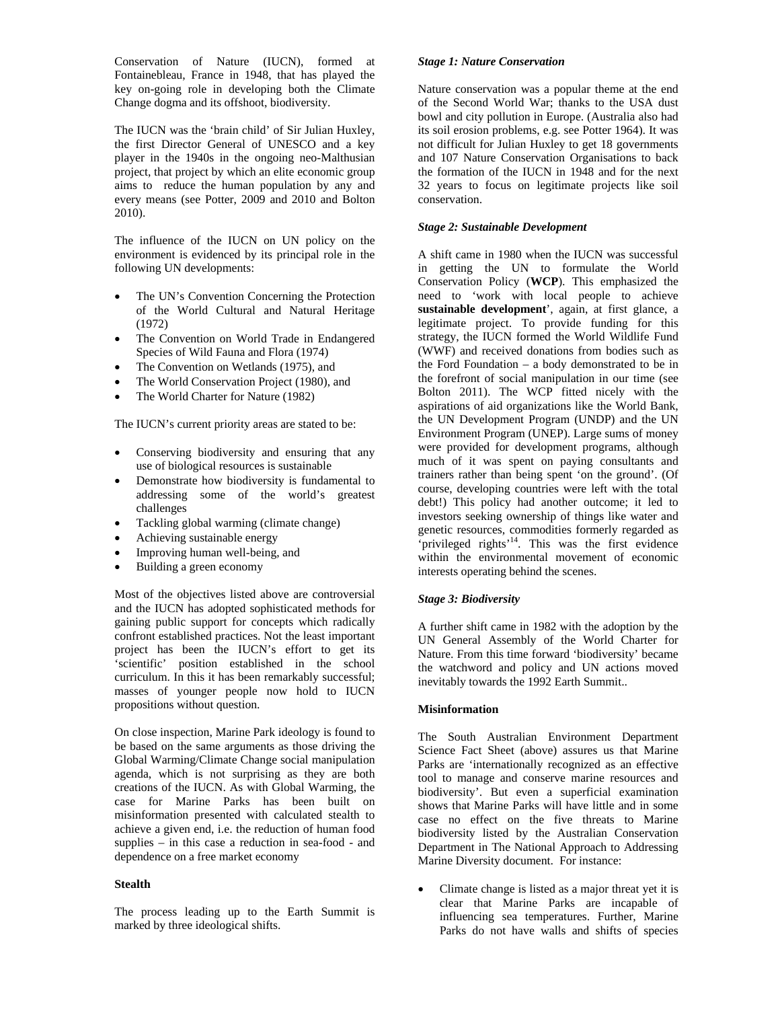Conservation of Nature (IUCN), formed at Fontainebleau, France in 1948, that has played the key on-going role in developing both the Climate Change dogma and its offshoot, biodiversity.

The IUCN was the 'brain child' of Sir Julian Huxley, the first Director General of UNESCO and a key player in the 1940s in the ongoing neo-Malthusian project, that project by which an elite economic group aims to reduce the human population by any and every means (see Potter, 2009 and 2010 and Bolton 2010).

The influence of the IUCN on UN policy on the environment is evidenced by its principal role in the following UN developments:

- The UN's Convention Concerning the Protection of the World Cultural and Natural Heritage (1972)
- The Convention on World Trade in Endangered Species of Wild Fauna and Flora (1974)
- The Convention on Wetlands (1975), and
- The World Conservation Project (1980), and
- The World Charter for Nature (1982)

The IUCN's current priority areas are stated to be:

- Conserving biodiversity and ensuring that any use of biological resources is sustainable
- Demonstrate how biodiversity is fundamental to addressing some of the world's greatest challenges
- Tackling global warming (climate change)
- Achieving sustainable energy
- Improving human well-being, and
- Building a green economy

Most of the objectives listed above are controversial and the IUCN has adopted sophisticated methods for gaining public support for concepts which radically confront established practices. Not the least important project has been the IUCN's effort to get its 'scientific' position established in the school curriculum. In this it has been remarkably successful; masses of younger people now hold to IUCN propositions without question.

On close inspection, Marine Park ideology is found to be based on the same arguments as those driving the Global Warming/Climate Change social manipulation agenda, which is not surprising as they are both creations of the IUCN. As with Global Warming, the case for Marine Parks has been built on misinformation presented with calculated stealth to achieve a given end, i.e. the reduction of human food supplies – in this case a reduction in sea-food - and dependence on a free market economy

# **Stealth**

The process leading up to the Earth Summit is marked by three ideological shifts.

## *Stage 1: Nature Conservation*

Nature conservation was a popular theme at the end of the Second World War; thanks to the USA dust bowl and city pollution in Europe. (Australia also had its soil erosion problems, e.g. see Potter 1964). It was not difficult for Julian Huxley to get 18 governments and 107 Nature Conservation Organisations to back the formation of the IUCN in 1948 and for the next 32 years to focus on legitimate projects like soil conservation.

# *Stage 2: Sustainable Development*

A shift came in 1980 when the IUCN was successful in getting the UN to formulate the World Conservation Policy (**WCP**). This emphasized the need to 'work with local people to achieve **sustainable development**', again, at first glance, a legitimate project. To provide funding for this strategy, the IUCN formed the World Wildlife Fund (WWF) and received donations from bodies such as the Ford Foundation – a body demonstrated to be in the forefront of social manipulation in our time (see Bolton 2011). The WCP fitted nicely with the aspirations of aid organizations like the World Bank, the UN Development Program (UNDP) and the UN Environment Program (UNEP). Large sums of money were provided for development programs, although much of it was spent on paying consultants and trainers rather than being spent 'on the ground'. (Of course, developing countries were left with the total debt!) This policy had another outcome; it led to investors seeking ownership of things like water and genetic resources, commodities formerly regarded as 'privileged rights'14. This was the first evidence within the environmental movement of economic interests operating behind the scenes.

# *Stage 3: Biodiversity*

A further shift came in 1982 with the adoption by the UN General Assembly of the World Charter for Nature. From this time forward 'biodiversity' became the watchword and policy and UN actions moved inevitably towards the 1992 Earth Summit..

# **Misinformation**

The South Australian Environment Department Science Fact Sheet (above) assures us that Marine Parks are 'internationally recognized as an effective tool to manage and conserve marine resources and biodiversity'. But even a superficial examination shows that Marine Parks will have little and in some case no effect on the five threats to Marine biodiversity listed by the Australian Conservation Department in The National Approach to Addressing Marine Diversity document. For instance:

• Climate change is listed as a major threat yet it is clear that Marine Parks are incapable of influencing sea temperatures. Further, Marine Parks do not have walls and shifts of species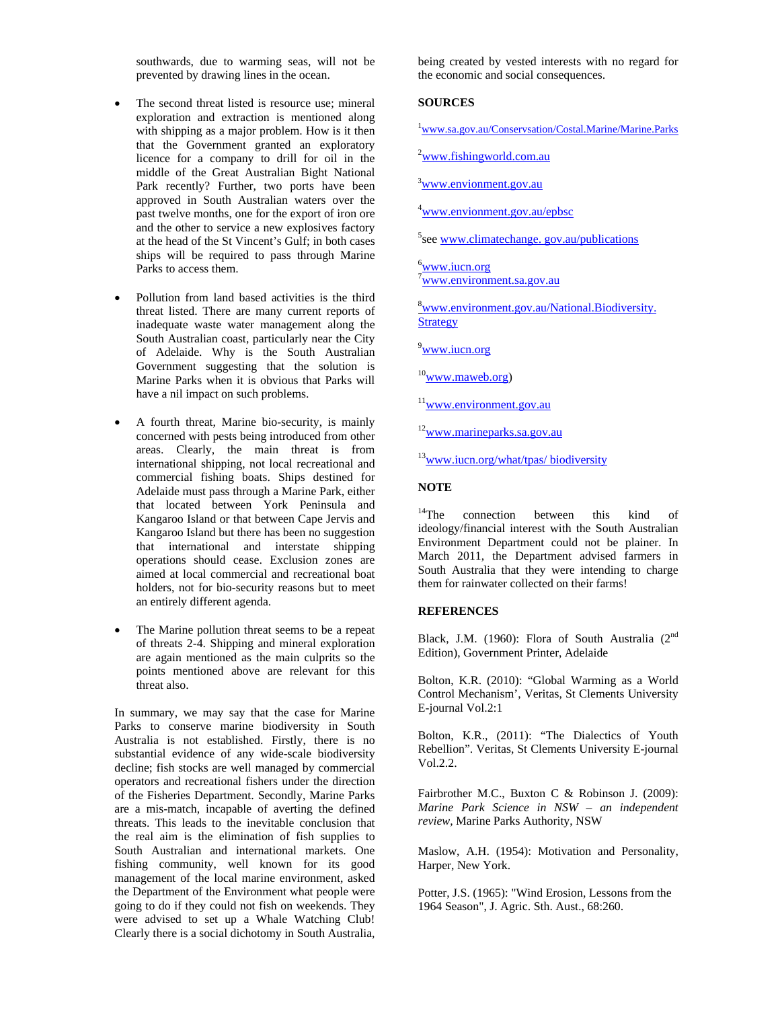southwards, due to warming seas, will not be prevented by drawing lines in the ocean.

- The second threat listed is resource use; mineral exploration and extraction is mentioned along with shipping as a major problem. How is it then that the Government granted an exploratory licence for a company to drill for oil in the middle of the Great Australian Bight National Park recently? Further, two ports have been approved in South Australian waters over the past twelve months, one for the export of iron ore and the other to service a new explosives factory at the head of the St Vincent's Gulf; in both cases ships will be required to pass through Marine Parks to access them.
- Pollution from land based activities is the third threat listed. There are many current reports of inadequate waste water management along the South Australian coast, particularly near the City of Adelaide. Why is the South Australian Government suggesting that the solution is Marine Parks when it is obvious that Parks will have a nil impact on such problems.
- A fourth threat, Marine bio-security, is mainly concerned with pests being introduced from other areas. Clearly, the main threat is from international shipping, not local recreational and commercial fishing boats. Ships destined for Adelaide must pass through a Marine Park, either that located between York Peninsula and Kangaroo Island or that between Cape Jervis and Kangaroo Island but there has been no suggestion that international and interstate shipping operations should cease. Exclusion zones are aimed at local commercial and recreational boat holders, not for bio-security reasons but to meet an entirely different agenda.
- The Marine pollution threat seems to be a repeat of threats 2-4. Shipping and mineral exploration are again mentioned as the main culprits so the points mentioned above are relevant for this threat also.

In summary, we may say that the case for Marine Parks to conserve marine biodiversity in South Australia is not established. Firstly, there is no substantial evidence of any wide-scale biodiversity decline; fish stocks are well managed by commercial operators and recreational fishers under the direction of the Fisheries Department. Secondly, Marine Parks are a mis-match, incapable of averting the defined threats. This leads to the inevitable conclusion that the real aim is the elimination of fish supplies to South Australian and international markets. One fishing community, well known for its good management of the local marine environment, asked the Department of the Environment what people were going to do if they could not fish on weekends. They were advised to set up a Whale Watching Club! Clearly there is a social dichotomy in South Australia,

being created by vested interests with no regard for the economic and social consequences.

## **SOURCES**

<sup>1</sup>www.sa.gov.au/Conservsation/Costal.Marine/Marine.Parks

<sup>2</sup>www.fishingworld.com.au

<sup>3</sup>www.envionment.gov.au

4 www.envionment.gov.au/epbsc

<sup>5</sup>see www.climatechange. gov.au/publications

<sup>6</sup>www.iucn.org <sup>7</sup>www.environment.sa.gov.au

8 www.environment.gov.au/National.Biodiversity. **Strategy** 

<sup>9</sup>www.iucn.org

 $10$ www.maweb.org)

<sup>11</sup>www.environment.gov.au

<sup>12</sup>www.marineparks.sa.gov.au

<sup>13</sup>www.iucn.org/what/tpas/ biodiversity

# **NOTE**

<sup>14</sup>The connection between this kind of ideology/financial interest with the South Australian Environment Department could not be plainer. In March 2011, the Department advised farmers in South Australia that they were intending to charge them for rainwater collected on their farms!

## **REFERENCES**

Black, J.M. (1960): Flora of South Australia  $(2^{nd}$ Edition), Government Printer, Adelaide

Bolton, K.R. (2010): "Global Warming as a World Control Mechanism', Veritas, St Clements University E-journal Vol.2:1

Bolton, K.R., (2011): "The Dialectics of Youth Rebellion". Veritas, St Clements University E-journal Vol.2.2.

Fairbrother M.C., Buxton C & Robinson J. (2009): *Marine Park Science in NSW – an independent review,* Marine Parks Authority, NSW

Maslow, A.H. (1954): Motivation and Personality, Harper, New York.

Potter, J.S. (1965): "Wind Erosion, Lessons from the 1964 Season", J. Agric. Sth. Aust., 68:260.